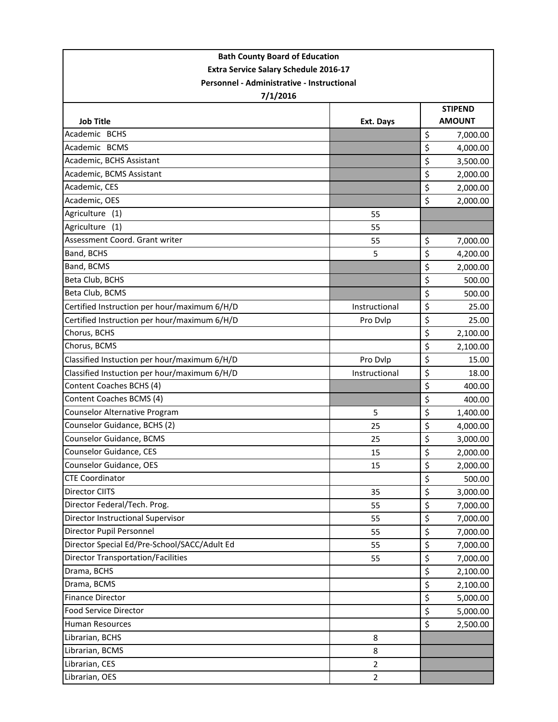| <b>Bath County Board of Education</b>        |                |                |               |  |  |
|----------------------------------------------|----------------|----------------|---------------|--|--|
| <b>Extra Service Salary Schedule 2016-17</b> |                |                |               |  |  |
| Personnel - Administrative - Instructional   |                |                |               |  |  |
| 7/1/2016                                     |                |                |               |  |  |
|                                              |                | <b>STIPEND</b> |               |  |  |
| <b>Job Title</b>                             | Ext. Days      |                | <b>AMOUNT</b> |  |  |
| Academic BCHS                                |                | $\zeta$        | 7,000.00      |  |  |
| Academic BCMS                                |                | \$             | 4,000.00      |  |  |
| Academic, BCHS Assistant                     |                | \$             | 3,500.00      |  |  |
| Academic, BCMS Assistant                     |                | \$             | 2,000.00      |  |  |
| Academic, CES                                |                | \$             | 2,000.00      |  |  |
| Academic, OES                                |                | \$             | 2,000.00      |  |  |
| Agriculture<br>(1)                           | 55             |                |               |  |  |
| Agriculture<br>(1)                           | 55             |                |               |  |  |
| Assessment Coord. Grant writer               | 55             | \$             | 7,000.00      |  |  |
| Band, BCHS                                   | 5              | \$             | 4,200.00      |  |  |
| Band, BCMS                                   |                | \$             | 2,000.00      |  |  |
| Beta Club, BCHS                              |                | \$             | 500.00        |  |  |
| Beta Club, BCMS                              |                | \$             | 500.00        |  |  |
| Certified Instruction per hour/maximum 6/H/D | Instructional  | \$             | 25.00         |  |  |
| Certified Instruction per hour/maximum 6/H/D | Pro Dvlp       | \$             | 25.00         |  |  |
| Chorus, BCHS                                 |                | \$             | 2,100.00      |  |  |
| Chorus, BCMS                                 |                | \$             | 2,100.00      |  |  |
| Classified Instuction per hour/maximum 6/H/D | Pro Dvlp       | \$             | 15.00         |  |  |
| Classified Instuction per hour/maximum 6/H/D | Instructional  | \$             | 18.00         |  |  |
| Content Coaches BCHS (4)                     |                | \$             | 400.00        |  |  |
| Content Coaches BCMS (4)                     |                | \$             | 400.00        |  |  |
| <b>Counselor Alternative Program</b>         | 5              | \$             | 1,400.00      |  |  |
| Counselor Guidance, BCHS (2)                 | 25             | \$             | 4,000.00      |  |  |
| Counselor Guidance, BCMS                     | 25             | \$             | 3,000.00      |  |  |
| Counselor Guidance, CES                      | 15             | \$             | 2,000.00      |  |  |
| <b>Counselor Guidance, OES</b>               | 15             | \$             | 2,000.00      |  |  |
| <b>CTE Coordinator</b>                       |                | \$             | 500.00        |  |  |
| Director CIITS                               | 35             | \$             | 3,000.00      |  |  |
| Director Federal/Tech. Prog.                 | 55             | \$             | 7,000.00      |  |  |
| Director Instructional Supervisor            | 55             | \$             | 7,000.00      |  |  |
| Director Pupil Personnel                     | 55             | \$             | 7,000.00      |  |  |
| Director Special Ed/Pre-School/SACC/Adult Ed | 55             | \$             | 7,000.00      |  |  |
| <b>Director Transportation/Facilities</b>    | 55             | \$             | 7,000.00      |  |  |
| Drama, BCHS                                  |                | \$             | 2,100.00      |  |  |
| Drama, BCMS                                  |                | \$             | 2,100.00      |  |  |
| <b>Finance Director</b>                      |                | \$             | 5,000.00      |  |  |
| Food Service Director                        |                | \$             | 5,000.00      |  |  |
| <b>Human Resources</b>                       |                | \$             | 2,500.00      |  |  |
| Librarian, BCHS                              | 8              |                |               |  |  |
| Librarian, BCMS                              | 8              |                |               |  |  |
| Librarian, CES                               | $\overline{2}$ |                |               |  |  |
| Librarian, OES                               | $\overline{2}$ |                |               |  |  |